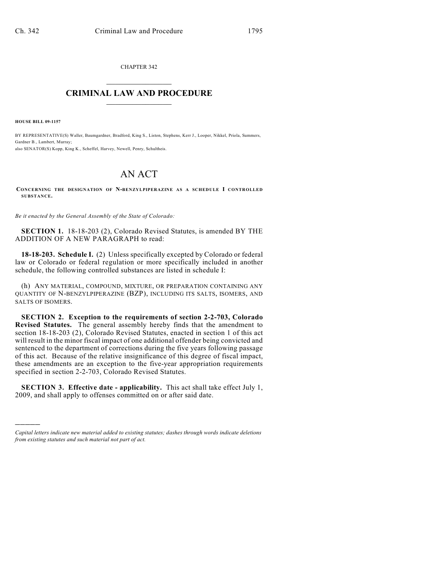CHAPTER 342  $\mathcal{L}_\text{max}$  . The set of the set of the set of the set of the set of the set of the set of the set of the set of the set of the set of the set of the set of the set of the set of the set of the set of the set of the set

## **CRIMINAL LAW AND PROCEDURE**  $\frac{1}{2}$  ,  $\frac{1}{2}$  ,  $\frac{1}{2}$  ,  $\frac{1}{2}$  ,  $\frac{1}{2}$  ,  $\frac{1}{2}$  ,  $\frac{1}{2}$

**HOUSE BILL 09-1157**

)))))

BY REPRESENTATIVE(S) Waller, Baumgardner, Bradford, King S., Liston, Stephens, Kerr J., Looper, Nikkel, Priola, Summers, Gardner B., Lambert, Murray; also SENATOR(S) Kopp, King K., Scheffel, Harvey, Newell, Penry, Schultheis.

## AN ACT

**CONCERNING THE DESIGNATION OF N-BENZYLPIPERAZINE AS A SCHEDULE I CONTROLLED SUBSTANCE.**

*Be it enacted by the General Assembly of the State of Colorado:*

**SECTION 1.** 18-18-203 (2), Colorado Revised Statutes, is amended BY THE ADDITION OF A NEW PARAGRAPH to read:

**18-18-203. Schedule I.** (2) Unless specifically excepted by Colorado or federal law or Colorado or federal regulation or more specifically included in another schedule, the following controlled substances are listed in schedule I:

(h) ANY MATERIAL, COMPOUND, MIXTURE, OR PREPARATION CONTAINING ANY QUANTITY OF N-BENZYLPIPERAZINE (BZP), INCLUDING ITS SALTS, ISOMERS, AND SALTS OF ISOMERS.

**SECTION 2. Exception to the requirements of section 2-2-703, Colorado Revised Statutes.** The general assembly hereby finds that the amendment to section 18-18-203 (2), Colorado Revised Statutes, enacted in section 1 of this act will result in the minor fiscal impact of one additional offender being convicted and sentenced to the department of corrections during the five years following passage of this act. Because of the relative insignificance of this degree of fiscal impact, these amendments are an exception to the five-year appropriation requirements specified in section 2-2-703, Colorado Revised Statutes.

**SECTION 3. Effective date - applicability.** This act shall take effect July 1, 2009, and shall apply to offenses committed on or after said date.

*Capital letters indicate new material added to existing statutes; dashes through words indicate deletions from existing statutes and such material not part of act.*